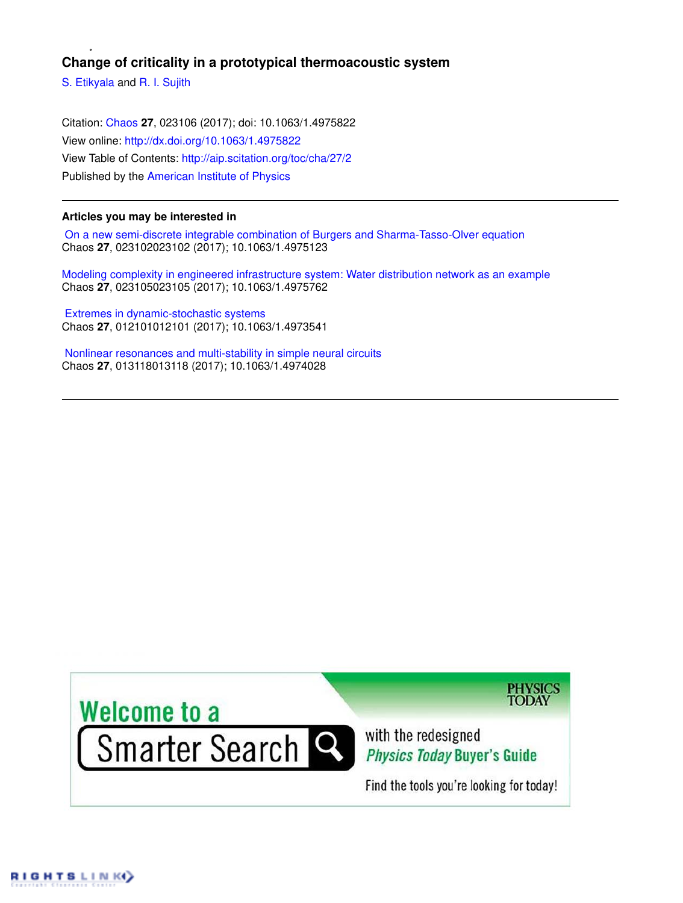# **Change of criticality in a prototypical thermoacoustic system**

S. Etikyala and R. I. Sujith

Citation: Chaos **27**, 023106 (2017); doi: 10.1063/1.4975822 View online: http://dx.doi.org/10.1063/1.4975822 View Table of Contents: http://aip.scitation.org/toc/cha/27/2 Published by the American Institute of Physics

# **Articles you may be interested in**

 On a new semi-discrete integrable combination of Burgers and Sharma-Tasso-Olver equation Chaos **27**, 023102023102 (2017); 10.1063/1.4975123

Modeling complexity in engineered infrastructure system: Water distribution network as an example Chaos **27**, 023105023105 (2017); 10.1063/1.4975762

 Extremes in dynamic-stochastic systems Chaos **27**, 012101012101 (2017); 10.1063/1.4973541

 Nonlinear resonances and multi-stability in simple neural circuits Chaos **27**, 013118013118 (2017); 10.1063/1.4974028

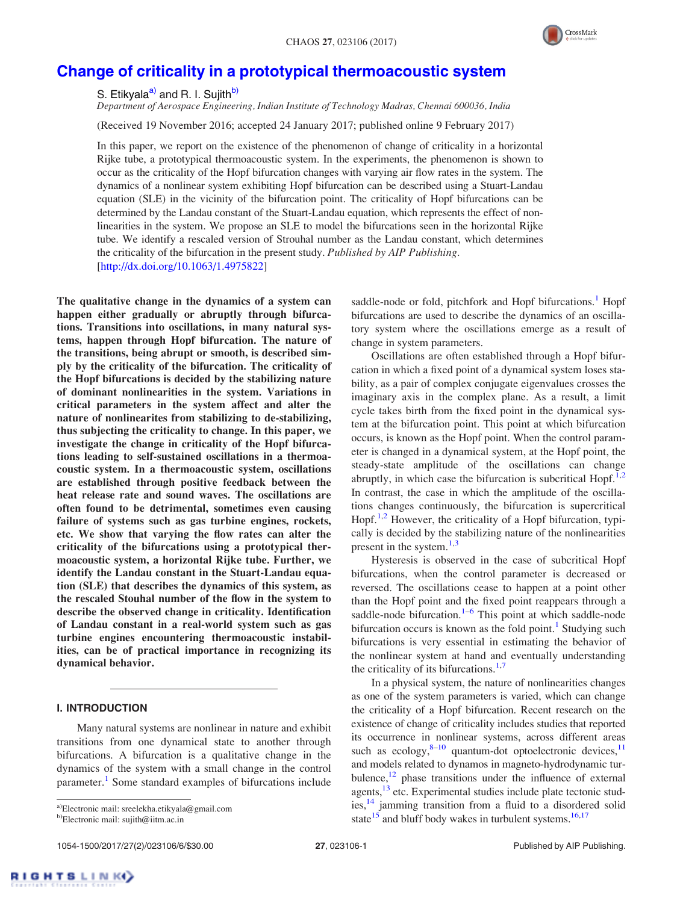

# Change of criticality in a prototypical thermoacoustic system

S. Etikvala<sup>a)</sup> and R. I. Suiith<sup>b)</sup>

*Department of Aerospace Engineering, Indian Institute of Technology Madras, Chennai 600036, India*

(Received 19 November 2016; accepted 24 January 2017; published online 9 February 2017)

In this paper, we report on the existence of the phenomenon of change of criticality in a horizontal Rijke tube, a prototypical thermoacoustic system. In the experiments, the phenomenon is shown to occur as the criticality of the Hopf bifurcation changes with varying air flow rates in the system. The dynamics of a nonlinear system exhibiting Hopf bifurcation can be described using a Stuart-Landau equation (SLE) in the vicinity of the bifurcation point. The criticality of Hopf bifurcations can be determined by the Landau constant of the Stuart-Landau equation, which represents the effect of nonlinearities in the system. We propose an SLE to model the bifurcations seen in the horizontal Rijke tube. We identify a rescaled version of Strouhal number as the Landau constant, which determines the criticality of the bifurcation in the present study. *Published by AIP Publishing.* [http://dx.doi.org/10.1063/1.4975822]

The qualitative change in the dynamics of a system can happen either gradually or abruptly through bifurcations. Transitions into oscillations, in many natural systems, happen through Hopf bifurcation. The nature of the transitions, being abrupt or smooth, is described simply by the criticality of the bifurcation. The criticality of the Hopf bifurcations is decided by the stabilizing nature of dominant nonlinearities in the system. Variations in critical parameters in the system affect and alter the nature of nonlinearites from stabilizing to de-stabilizing, thus subjecting the criticality to change. In this paper, we investigate the change in criticality of the Hopf bifurcations leading to self-sustained oscillations in a thermoacoustic system. In a thermoacoustic system, oscillations are established through positive feedback between the heat release rate and sound waves. The oscillations are often found to be detrimental, sometimes even causing failure of systems such as gas turbine engines, rockets, etc. We show that varying the flow rates can alter the criticality of the bifurcations using a prototypical thermoacoustic system, a horizontal Rijke tube. Further, we identify the Landau constant in the Stuart-Landau equation (SLE) that describes the dynamics of this system, as the rescaled Stouhal number of the flow in the system to describe the observed change in criticality. Identification of Landau constant in a real-world system such as gas turbine engines encountering thermoacoustic instabilities, can be of practical importance in recognizing its dynamical behavior.

### I. INTRODUCTION

Many natural systems are nonlinear in nature and exhibit transitions from one dynamical state to another through bifurcations. A bifurcation is a qualitative change in the dynamics of the system with a small change in the control parameter.<sup>1</sup> Some standard examples of bifurcations include

a)Electronic mail: sreelekha.etikyala@gmail.com b)Electronic mail: sujith@iitm.ac.in

saddle-node or fold, pitchfork and Hopf bifurcations.<sup>1</sup> Hopf bifurcations are used to describe the dynamics of an oscillatory system where the oscillations emerge as a result of change in system parameters.

Oscillations are often established through a Hopf bifurcation in which a fixed point of a dynamical system loses stability, as a pair of complex conjugate eigenvalues crosses the imaginary axis in the complex plane. As a result, a limit cycle takes birth from the fixed point in the dynamical system at the bifurcation point. This point at which bifurcation occurs, is known as the Hopf point. When the control parameter is changed in a dynamical system, at the Hopf point, the steady-state amplitude of the oscillations can change abruptly, in which case the bifurcation is subcritical Hopf.<sup>1,2</sup> In contrast, the case in which the amplitude of the oscillations changes continuously, the bifurcation is supercritical Hopf.<sup>1,2</sup> However, the criticality of a Hopf bifurcation, typically is decided by the stabilizing nature of the nonlinearities present in the system.<sup>1,3</sup>

Hysteresis is observed in the case of subcritical Hopf bifurcations, when the control parameter is decreased or reversed. The oscillations cease to happen at a point other than the Hopf point and the fixed point reappears through a saddle-node bifurcation.<sup>1-6</sup> This point at which saddle-node bifurcation occurs is known as the fold point.<sup>1</sup> Studying such bifurcations is very essential in estimating the behavior of the nonlinear system at hand and eventually understanding the criticality of its bifurcations. $1,7$ 

In a physical system, the nature of nonlinearities changes as one of the system parameters is varied, which can change the criticality of a Hopf bifurcation. Recent research on the existence of change of criticality includes studies that reported its occurrence in nonlinear systems, across different areas such as ecology,  $8-10$  quantum-dot optoelectronic devices,  $11$ and models related to dynamos in magneto-hydrodynamic turbulence, $12$  phase transitions under the influence of external agents,<sup>13</sup> etc. Experimental studies include plate tectonic studies,<sup>14</sup> jamming transition from a fluid to a disordered solid state<sup>15</sup> and bluff body wakes in turbulent systems.<sup>16,17</sup>

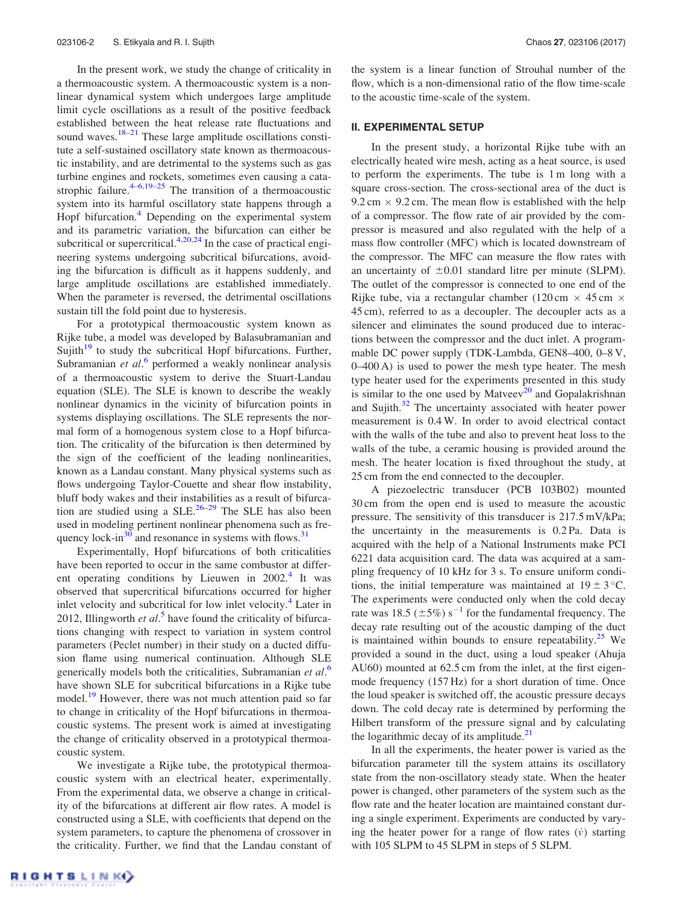In the present work, we study the change of criticality in a thermoacoustic system. A thermoacoustic system is a nonlinear dynamical system which undergoes large amplitude limit cycle oscillations as a result of the positive feedback established between the heat release rate fluctuations and sound waves. $18-21$  These large amplitude oscillations constitute a self-sustained oscillatory state known as thermoacoustic instability, and are detrimental to the systems such as gas turbine engines and rockets, sometimes even causing a catastrophic failure. $4-6,19-25$  The transition of a thermoacoustic system into its harmful oscillatory state happens through a Hopf bifurcation.<sup>4</sup> Depending on the experimental system and its parametric variation, the bifurcation can either be subcritical or supercritical. $4,20,24$  In the case of practical engineering systems undergoing subcritical bifurcations, avoiding the bifurcation is difficult as it happens suddenly, and large amplitude oscillations are established immediately. When the parameter is reversed, the detrimental oscillations sustain till the fold point due to hysteresis.

For a prototypical thermoacoustic system known as Rijke tube, a model was developed by Balasubramanian and Sujith $19$  to study the subcritical Hopf bifurcations. Further, Subramanian et al.<sup>6</sup> performed a weakly nonlinear analysis of a thermoacoustic system to derive the Stuart-Landau equation (SLE). The SLE is known to describe the weakly nonlinear dynamics in the vicinity of bifurcation points in systems displaying oscillations. The SLE represents the normal form of a homogenous system close to a Hopf bifurcation. The criticality of the bifurcation is then determined by the sign of the coefficient of the leading nonlinearities, known as a Landau constant. Many physical systems such as flows undergoing Taylor-Couette and shear flow instability, bluff body wakes and their instabilities as a result of bifurcation are studied using a SLE.<sup>26–29</sup> The SLE has also been used in modeling pertinent nonlinear phenomena such as frequency lock-in $30^\circ$  and resonance in systems with flows.  $31^\circ$ 

Experimentally, Hopf bifurcations of both criticalities have been reported to occur in the same combustor at different operating conditions by Lieuwen in  $2002$ .<sup>4</sup> It was observed that supercritical bifurcations occurred for higher inlet velocity and subcritical for low inlet velocity.<sup>4</sup> Later in 2012, Illingworth *et al*. 5 have found the criticality of bifurcations changing with respect to variation in system control parameters (Peclet number) in their study on a ducted diffusion flame using numerical continuation. Although SLE generically models both the criticalities, Subramanian *et al*. 6 have shown SLE for subcritical bifurcations in a Rijke tube model.<sup>19</sup> However, there was not much attention paid so far to change in criticality of the Hopf bifurcations in thermoacoustic systems. The present work is aimed at investigating the change of criticality observed in a prototypical thermoacoustic system.

We investigate a Rijke tube, the prototypical thermoacoustic system with an electrical heater, experimentally. From the experimental data, we observe a change in criticality of the bifurcations at different air flow rates. A model is constructed using a SLE, with coefficients that depend on the system parameters, to capture the phenomena of crossover in the criticality. Further, we find that the Landau constant of the system is a linear function of Strouhal number of the flow, which is a non-dimensional ratio of the flow time-scale to the acoustic time-scale of the system.

#### II. EXPERIMENTAL SETUP

In the present study, a horizontal Rijke tube with an electrically heated wire mesh, acting as a heat source, is used to perform the experiments. The tube is 1 m long with a square cross-section. The cross-sectional area of the duct is  $9.2 \text{ cm} \times 9.2 \text{ cm}$ . The mean flow is established with the help of a compressor. The flow rate of air provided by the compressor is measured and also regulated with the help of a mass flow controller (MFC) which is located downstream of the compressor. The MFC can measure the flow rates with an uncertainty of  $\pm 0.01$  standard litre per minute (SLPM). The outlet of the compressor is connected to one end of the Rijke tube, via a rectangular chamber (120 cm  $\times$  45 cm  $\times$ 45 cm), referred to as a decoupler. The decoupler acts as a silencer and eliminates the sound produced due to interactions between the compressor and the duct inlet. A programmable DC power supply (TDK-Lambda, GEN8–400, 0–8 V, 0–400 A) is used to power the mesh type heater. The mesh type heater used for the experiments presented in this study is similar to the one used by Matveev<sup>20</sup> and Gopalakrishnan and Sujith. $32$  The uncertainty associated with heater power measurement is 0.4 W. In order to avoid electrical contact with the walls of the tube and also to prevent heat loss to the walls of the tube, a ceramic housing is provided around the mesh. The heater location is fixed throughout the study, at 25 cm from the end connected to the decoupler.

A piezoelectric transducer (PCB 103B02) mounted 30 cm from the open end is used to measure the acoustic pressure. The sensitivity of this transducer is 217.5 mV/kPa; the uncertainty in the measurements is 0.2 Pa. Data is acquired with the help of a National Instruments make PCI 6221 data acquisition card. The data was acquired at a sampling frequency of 10 kHz for 3 s. To ensure uniform conditions, the initial temperature was maintained at  $19 \pm 3$  °C. The experiments were conducted only when the cold decay rate was 18.5 ( $\pm$ 5%) s<sup>-1</sup> for the fundamental frequency. The decay rate resulting out of the acoustic damping of the duct is maintained within bounds to ensure repeatability.<sup>25</sup> We provided a sound in the duct, using a loud speaker (Ahuja AU60) mounted at 62.5 cm from the inlet, at the first eigenmode frequency (157 Hz) for a short duration of time. Once the loud speaker is switched off, the acoustic pressure decays down. The cold decay rate is determined by performing the Hilbert transform of the pressure signal and by calculating the logarithmic decay of its amplitude. $21$ 

In all the experiments, the heater power is varied as the bifurcation parameter till the system attains its oscillatory state from the non-oscillatory steady state. When the heater power is changed, other parameters of the system such as the flow rate and the heater location are maintained constant during a single experiment. Experiments are conducted by varying the heater power for a range of flow rates  $(\dot{v})$  starting with 105 SLPM to 45 SLPM in steps of 5 SLPM.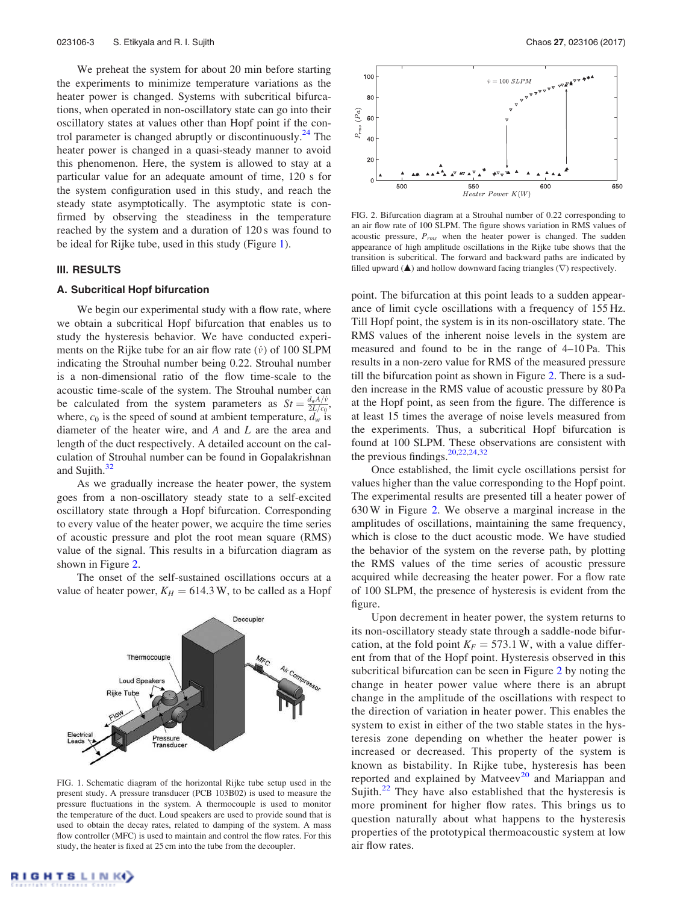We preheat the system for about 20 min before starting the experiments to minimize temperature variations as the heater power is changed. Systems with subcritical bifurcations, when operated in non-oscillatory state can go into their oscillatory states at values other than Hopf point if the control parameter is changed abruptly or discontinuously.<sup>24</sup> The heater power is changed in a quasi-steady manner to avoid this phenomenon. Here, the system is allowed to stay at a particular value for an adequate amount of time, 120 s for the system configuration used in this study, and reach the steady state asymptotically. The asymptotic state is confirmed by observing the steadiness in the temperature reached by the system and a duration of 120 s was found to be ideal for Rijke tube, used in this study (Figure 1).

#### III. RESULTS

#### A. Subcritical Hopf bifurcation

We begin our experimental study with a flow rate, where we obtain a subcritical Hopf bifurcation that enables us to study the hysteresis behavior. We have conducted experiments on the Rijke tube for an air flow rate  $(\dot{v})$  of 100 SLPM indicating the Strouhal number being 0.22. Strouhal number is a non-dimensional ratio of the flow time-scale to the acoustic time-scale of the system. The Strouhal number can be calculated from the system parameters as  $St = \frac{d_w A/v}{2L/c}$  $\frac{a_w A/v}{2L/c_0}$ where,  $c_0$  is the speed of sound at ambient temperature,  $d_w$  is diameter of the heater wire, and *A* and *L* are the area and length of the duct respectively. A detailed account on the calculation of Strouhal number can be found in Gopalakrishnan and Sujith. $32$ 

As we gradually increase the heater power, the system goes from a non-oscillatory steady state to a self-excited oscillatory state through a Hopf bifurcation. Corresponding to every value of the heater power, we acquire the time series of acoustic pressure and plot the root mean square (RMS) value of the signal. This results in a bifurcation diagram as shown in Figure 2.

The onset of the self-sustained oscillations occurs at a value of heater power,  $K_H = 614.3$  W, to be called as a Hopf



FIG. 1. Schematic diagram of the horizontal Rijke tube setup used in the present study. A pressure transducer (PCB 103B02) is used to measure the pressure fluctuations in the system. A thermocouple is used to monitor the temperature of the duct. Loud speakers are used to provide sound that is used to obtain the decay rates, related to damping of the system. A mass flow controller (MFC) is used to maintain and control the flow rates. For this study, the heater is fixed at 25 cm into the tube from the decoupler.



FIG. 2. Bifurcation diagram at a Strouhal number of 0.22 corresponding to an air flow rate of 100 SLPM. The figure shows variation in RMS values of acoustic pressure, *Prms* when the heater power is changed. The sudden appearance of high amplitude oscillations in the Rijke tube shows that the transition is subcritical. The forward and backward paths are indicated by filled upward ( $\triangle$ ) and hollow downward facing triangles ( $\nabla$ ) respectively.

point. The bifurcation at this point leads to a sudden appearance of limit cycle oscillations with a frequency of 155 Hz. Till Hopf point, the system is in its non-oscillatory state. The RMS values of the inherent noise levels in the system are measured and found to be in the range of 4–10 Pa. This results in a non-zero value for RMS of the measured pressure till the bifurcation point as shown in Figure 2. There is a sudden increase in the RMS value of acoustic pressure by 80 Pa at the Hopf point, as seen from the figure. The difference is at least 15 times the average of noise levels measured from the experiments. Thus, a subcritical Hopf bifurcation is found at 100 SLPM. These observations are consistent with the previous findings.<sup>20,22,24,32</sup>

Once established, the limit cycle oscillations persist for values higher than the value corresponding to the Hopf point. The experimental results are presented till a heater power of 630 W in Figure 2. We observe a marginal increase in the amplitudes of oscillations, maintaining the same frequency, which is close to the duct acoustic mode. We have studied the behavior of the system on the reverse path, by plotting the RMS values of the time series of acoustic pressure acquired while decreasing the heater power. For a flow rate of 100 SLPM, the presence of hysteresis is evident from the figure.

Upon decrement in heater power, the system returns to its non-oscillatory steady state through a saddle-node bifurcation, at the fold point  $K_F = 573.1$  W, with a value different from that of the Hopf point. Hysteresis observed in this subcritical bifurcation can be seen in Figure 2 by noting the change in heater power value where there is an abrupt change in the amplitude of the oscillations with respect to the direction of variation in heater power. This enables the system to exist in either of the two stable states in the hysteresis zone depending on whether the heater power is increased or decreased. This property of the system is known as bistability. In Rijke tube, hysteresis has been reported and explained by Matveev<sup>20</sup> and Mariappan and Sujith.<sup>22</sup> They have also established that the hysteresis is more prominent for higher flow rates. This brings us to question naturally about what happens to the hysteresis properties of the prototypical thermoacoustic system at low air flow rates.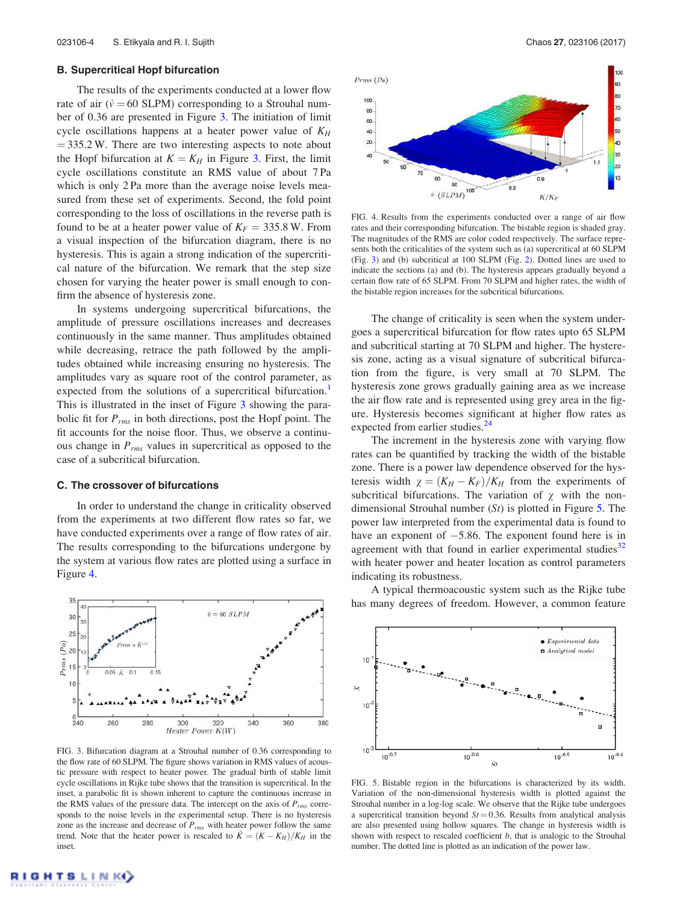#### B. Supercritical Hopf bifurcation

The results of the experiments conducted at a lower flow rate of air  $(\dot{v} = 60 \text{ SLPM})$  corresponding to a Strouhal number of 0.36 are presented in Figure 3. The initiation of limit cycle oscillations happens at a heater power value of *K<sup>H</sup>*  $=$  335.2 W. There are two interesting aspects to note about the Hopf bifurcation at  $K = K_H$  in Figure 3. First, the limit cycle oscillations constitute an RMS value of about 7 Pa which is only 2 Pa more than the average noise levels measured from these set of experiments. Second, the fold point corresponding to the loss of oscillations in the reverse path is found to be at a heater power value of  $K_F = 335.8$  W. From a visual inspection of the bifurcation diagram, there is no hysteresis. This is again a strong indication of the supercritical nature of the bifurcation. We remark that the step size chosen for varying the heater power is small enough to confirm the absence of hysteresis zone.

In systems undergoing supercritical bifurcations, the amplitude of pressure oscillations increases and decreases continuously in the same manner. Thus amplitudes obtained while decreasing, retrace the path followed by the amplitudes obtained while increasing ensuring no hysteresis. The amplitudes vary as square root of the control parameter, as expected from the solutions of a supercritical bifurcation.<sup>1</sup> This is illustrated in the inset of Figure 3 showing the parabolic fit for *Prms* in both directions, post the Hopf point. The fit accounts for the noise floor. Thus, we observe a continuous change in *Prms* values in supercritical as opposed to the case of a subcritical bifurcation.

#### C. The crossover of bifurcations

In order to understand the change in criticality observed from the experiments at two different flow rates so far, we have conducted experiments over a range of flow rates of air. The results corresponding to the bifurcations undergone by the system at various flow rates are plotted using a surface in Figure 4.



FIG. 3. Bifurcation diagram at a Strouhal number of 0.36 corresponding to the flow rate of 60 SLPM. The figure shows variation in RMS values of acoustic pressure with respect to heater power. The gradual birth of stable limit cycle oscillations in Rijke tube shows that the transition is supercritical. In the inset, a parabolic fit is shown inherent to capture the continuous increase in the RMS values of the pressure data. The intercept on the axis of  $P_{rms}$  corresponds to the noise levels in the experimental setup. There is no hysteresis zone as the increase and decrease of *Prms* with heater power follow the same trend. Note that the heater power is rescaled to  $\tilde{K} = (K - K_H)/K_H$  in the inset.



FIG. 4. Results from the experiments conducted over a range of air flow rates and their corresponding bifurcation. The bistable region is shaded gray. The magnitudes of the RMS are color coded respectively. The surface represents both the criticalities of the system such as (a) supercritical at 60 SLPM (Fig. 3) and (b) subcritical at 100 SLPM (Fig. 2). Dotted lines are used to indicate the sections (a) and (b). The hysteresis appears gradually beyond a certain flow rate of 65 SLPM. From 70 SLPM and higher rates, the width of the bistable region increases for the subcritical bifurcations.

The change of criticality is seen when the system undergoes a supercritical bifurcation for flow rates upto 65 SLPM and subcritical starting at 70 SLPM and higher. The hysteresis zone, acting as a visual signature of subcritical bifurcation from the figure, is very small at 70 SLPM. The hysteresis zone grows gradually gaining area as we increase the air flow rate and is represented using grey area in the figure. Hysteresis becomes significant at higher flow rates as expected from earlier studies.<sup>24</sup>

The increment in the hysteresis zone with varying flow rates can be quantified by tracking the width of the bistable zone. There is a power law dependence observed for the hysteresis width  $\chi = (K_H - K_F)/K_H$  from the experiments of subcritical bifurcations. The variation of  $\chi$  with the nondimensional Strouhal number (*St*) is plotted in Figure 5. The power law interpreted from the experimental data is found to have an exponent of  $-5.86$ . The exponent found here is in agreement with that found in earlier experimental studies $32$ with heater power and heater location as control parameters indicating its robustness.

A typical thermoacoustic system such as the Rijke tube has many degrees of freedom. However, a common feature



FIG. 5. Bistable region in the bifurcations is characterized by its width. Variation of the non-dimensional hysteresis width is plotted against the Strouhal number in a log-log scale. We observe that the Rijke tube undergoes a supercritical transition beyond  $St = 0.36$ . Results from analytical analysis are also presented using hollow squares. The change in hysteresis width is shown with respect to rescaled coefficient *b*, that is analogic to the Strouhal number. The dotted line is plotted as an indication of the power law.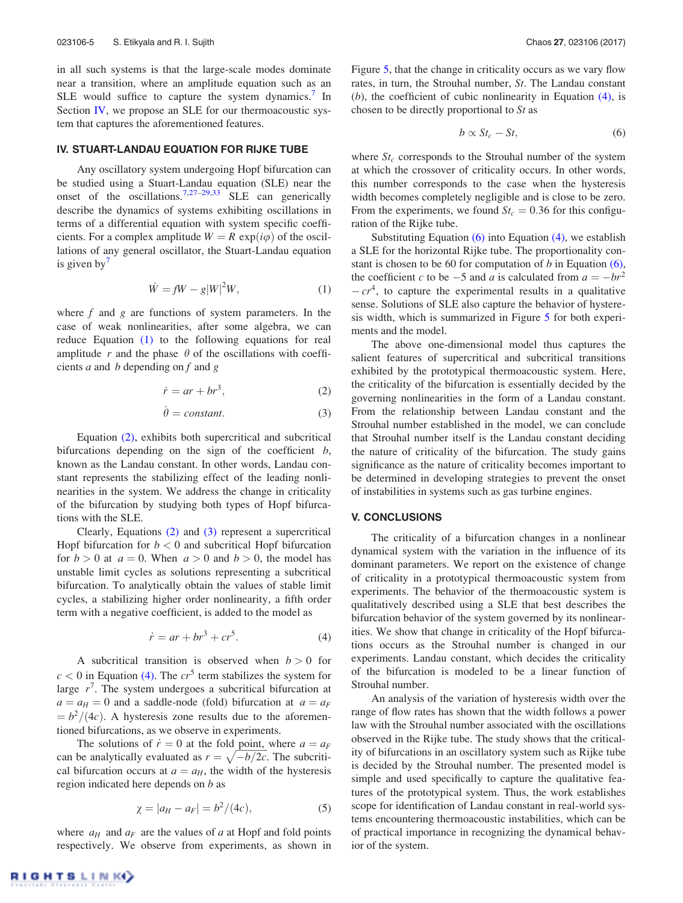in all such systems is that the large-scale modes dominate near a transition, where an amplitude equation such as an SLE would suffice to capture the system dynamics.<sup>7</sup> In Section IV, we propose an SLE for our thermoacoustic system that captures the aforementioned features.

### IV. STUART-LANDAU EQUATION FOR RIJKE TUBE

Any oscillatory system undergoing Hopf bifurcation can be studied using a Stuart-Landau equation (SLE) near the onset of the oscillations.<sup>7,27–29,33</sup> SLE can generically describe the dynamics of systems exhibiting oscillations in terms of a differential equation with system specific coefficients. For a complex amplitude  $W = R \exp(i\varphi)$  of the oscillations of any general oscillator, the Stuart-Landau equation is given by $'$ 

$$
\dot{W} = fW - g|W|^2 W,\tag{1}
$$

where *f* and *g* are functions of system parameters. In the case of weak nonlinearities, after some algebra, we can reduce Equation (1) to the following equations for real amplitude  $r$  and the phase  $\theta$  of the oscillations with coefficients *a* and *b* depending on *f* and *g*

$$
\dot{r} = ar + br^3,\tag{2}
$$

$$
\dot{\theta} = constant.
$$
 (3)

Equation (2), exhibits both supercritical and subcritical bifurcations depending on the sign of the coefficient *b*, known as the Landau constant. In other words, Landau constant represents the stabilizing effect of the leading nonlinearities in the system. We address the change in criticality of the bifurcation by studying both types of Hopf bifurcations with the SLE.

Clearly, Equations (2) and (3) represent a supercritical Hopf bifurcation for  $b < 0$  and subcritical Hopf bifurcation for  $b > 0$  at  $a = 0$ . When  $a > 0$  and  $b > 0$ , the model has unstable limit cycles as solutions representing a subcritical bifurcation. To analytically obtain the values of stable limit cycles, a stabilizing higher order nonlinearity, a fifth order term with a negative coefficient, is added to the model as

$$
\dot{r} = ar + br^3 + cr^5. \tag{4}
$$

A subcritical transition is observed when  $b > 0$  for  $c < 0$  in Equation (4). The  $cr<sup>5</sup>$  term stabilizes the system for large  $r^7$ . The system undergoes a subcritical bifurcation at  $a = a_H = 0$  and a saddle-node (fold) bifurcation at  $a = a_F$  $= b^2/(4c)$ . A hysteresis zone results due to the aforementioned bifurcations, as we observe in experiments.

The solutions of  $\dot{r} = 0$  at the fold point, where  $a = a_F$ can be analytically evaluated as  $r = \sqrt{-b/2c}$ . The subcritical bifurcation occurs at  $a = a_H$ , the width of the hysteresis region indicated here depends on *b* as

$$
\chi = |a_H - a_F| = b^2/(4c),\tag{5}
$$

where  $a_H$  and  $a_F$  are the values of *a* at Hopf and fold points respectively. We observe from experiments, as shown in Figure 5, that the change in criticality occurs as we vary flow rates, in turn, the Strouhal number, *St*. The Landau constant (*b*), the coefficient of cubic nonlinearity in Equation (4), is chosen to be directly proportional to *St* as

$$
b \propto St_c - St, \tag{6}
$$

where  $St_c$  corresponds to the Strouhal number of the system at which the crossover of criticality occurs. In other words, this number corresponds to the case when the hysteresis width becomes completely negligible and is close to be zero. From the experiments, we found  $St_c = 0.36$  for this configuration of the Rijke tube.

Substituting Equation  $(6)$  into Equation  $(4)$ , we establish a SLE for the horizontal Rijke tube. The proportionality constant is chosen to be 60 for computation of *b* in Equation (6), the coefficient *c* to be  $-5$  and *a* is calculated from  $a = -br^2$  $-cr<sup>4</sup>$ , to capture the experimental results in a qualitative sense. Solutions of SLE also capture the behavior of hysteresis width, which is summarized in Figure 5 for both experiments and the model.

The above one-dimensional model thus captures the salient features of supercritical and subcritical transitions exhibited by the prototypical thermoacoustic system. Here, the criticality of the bifurcation is essentially decided by the governing nonlinearities in the form of a Landau constant. From the relationship between Landau constant and the Strouhal number established in the model, we can conclude that Strouhal number itself is the Landau constant deciding the nature of criticality of the bifurcation. The study gains significance as the nature of criticality becomes important to be determined in developing strategies to prevent the onset of instabilities in systems such as gas turbine engines.

## V. CONCLUSIONS

The criticality of a bifurcation changes in a nonlinear dynamical system with the variation in the influence of its dominant parameters. We report on the existence of change of criticality in a prototypical thermoacoustic system from experiments. The behavior of the thermoacoustic system is qualitatively described using a SLE that best describes the bifurcation behavior of the system governed by its nonlinearities. We show that change in criticality of the Hopf bifurcations occurs as the Strouhal number is changed in our experiments. Landau constant, which decides the criticality of the bifurcation is modeled to be a linear function of Strouhal number.

An analysis of the variation of hysteresis width over the range of flow rates has shown that the width follows a power law with the Strouhal number associated with the oscillations observed in the Rijke tube. The study shows that the criticality of bifurcations in an oscillatory system such as Rijke tube is decided by the Strouhal number. The presented model is simple and used specifically to capture the qualitative features of the prototypical system. Thus, the work establishes scope for identification of Landau constant in real-world systems encountering thermoacoustic instabilities, which can be of practical importance in recognizing the dynamical behavior of the system.